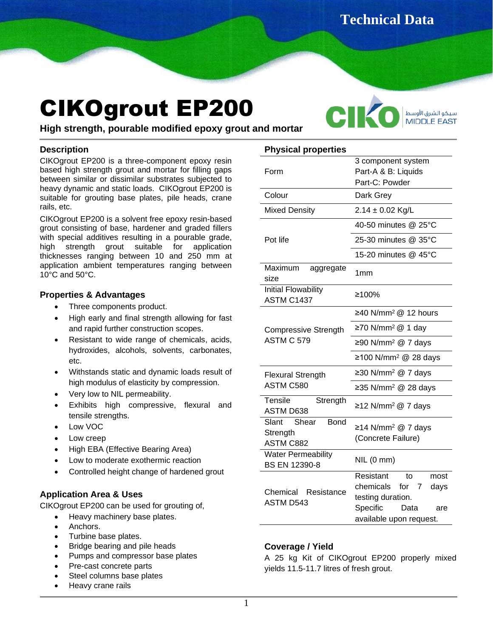**Technical Data** 

# CIKOgrout EP200

CI سيكو الشرق الأوسط **MIDDLE EAST** 

**Sheet**

**High strength, pourable modified epoxy grout and mortar**

#### **Description**

CIKOgrout EP200 is a three-component epoxy resin based high strength grout and mortar for filling gaps between similar or dissimilar substrates subjected to heavy dynamic and static loads. CIKOgrout EP200 is suitable for grouting base plates, pile heads, crane rails, etc.

CIKOgrout EP200 is a solvent free epoxy resin-based grout consisting of base, hardener and graded fillers with special additives resulting in a pourable grade, high strength grout suitable for application thicknesses ranging between 10 and 250 mm at application ambient temperatures ranging between 10°C and 50°C.

# **Properties & Advantages**

- Three components product.
- High early and final strength allowing for fast and rapid further construction scopes.
- Resistant to wide range of chemicals, acids, hydroxides, alcohols, solvents, carbonates, etc.
- Withstands static and dynamic loads result of high modulus of elasticity by compression.
- Very low to NIL permeability.
- Exhibits high compressive, flexural and tensile strengths.
- Low VOC
- Low creep
- High EBA (Effective Bearing Area)
- Low to moderate exothermic reaction
- Controlled height change of hardened grout

## **Application Area & Uses**

CIKOgrout EP200 can be used for grouting of,

- Heavy machinery base plates.
- Anchors.
- Turbine base plates.
- Bridge bearing and pile heads
- Pumps and compressor base plates
- Pre-cast concrete parts
- Steel columns base plates
- Heavy crane rails

|  | <b>Physical properties</b> |
|--|----------------------------|
|--|----------------------------|

| Form                                                       | 3 component system<br>Part-A & B: Liquids<br>Part-C: Powder                                                                   |
|------------------------------------------------------------|-------------------------------------------------------------------------------------------------------------------------------|
| Colour                                                     | Dark Grey                                                                                                                     |
| <b>Mixed Density</b>                                       | $2.14 \pm 0.02$ Kg/L                                                                                                          |
| Pot life                                                   | 40-50 minutes @ 25°C                                                                                                          |
|                                                            | 25-30 minutes @ 35°C                                                                                                          |
|                                                            | 15-20 minutes @ 45°C                                                                                                          |
| Maximum<br>aggregate<br>size                               | 1mm                                                                                                                           |
| <b>Initial Flowability</b><br>ASTM C1437                   | ≥100%                                                                                                                         |
| <b>Compressive Strength</b><br>ASTM C 579                  | ≥40 N/mm <sup>2</sup> @ 12 hours                                                                                              |
|                                                            | ≥70 N/mm <sup>2</sup> @ 1 day                                                                                                 |
|                                                            | ≥90 N/mm <sup>2</sup> @ 7 days                                                                                                |
|                                                            | ≥100 N/mm <sup>2</sup> @ 28 days                                                                                              |
| <b>Flexural Strength</b>                                   | ≥30 N/mm <sup>2</sup> @ 7 days                                                                                                |
| ASTM C580                                                  | ≥35 N/mm <sup>2</sup> @ 28 days                                                                                               |
| Tensile<br>Strength<br><b>ASTM D638</b>                    | ≥12 N/mm <sup>2</sup> @ 7 days                                                                                                |
| Slant Shear<br><b>Bond</b><br>Strength<br><b>ASTM C882</b> | ≥14 N/mm <sup>2</sup> @ 7 days<br>(Concrete Failure)                                                                          |
| <b>Water Permeability</b><br>BS EN 12390-8                 | NIL(0mm)                                                                                                                      |
| Chemical<br>Resistance<br><b>ASTM D543</b>                 | Resistant<br>to<br>most<br>chemicals for 7<br>days<br>testing duration.<br>Specific<br>Data<br>are<br>available upon request. |

## **Coverage / Yield**

A 25 kg Kit of CIKOgrout EP200 properly mixed yields 11.5-11.7 litres of fresh grout.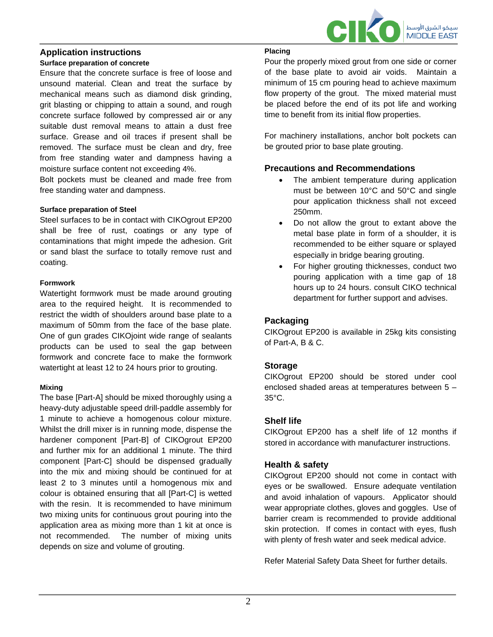

# **Application instructions**

#### **Surface preparation of concrete**

Ensure that the concrete surface is free of loose and unsound material. Clean and treat the surface by mechanical means such as diamond disk grinding, grit blasting or chipping to attain a sound, and rough concrete surface followed by compressed air or any suitable dust removal means to attain a dust free surface. Grease and oil traces if present shall be removed. The surface must be clean and dry, free from free standing water and dampness having a moisture surface content not exceeding 4%.

Bolt pockets must be cleaned and made free from free standing water and dampness.

#### **Surface preparation of Steel**

Steel surfaces to be in contact with CIKOgrout EP200 shall be free of rust, coatings or any type of contaminations that might impede the adhesion. Grit or sand blast the surface to totally remove rust and coating.

#### **Formwork**

Watertight formwork must be made around grouting area to the required height. It is recommended to restrict the width of shoulders around base plate to a maximum of 50mm from the face of the base plate. One of gun grades CIKOjoint wide range of sealants products can be used to seal the gap between formwork and concrete face to make the formwork watertight at least 12 to 24 hours prior to grouting.

#### **Mixing**

The base [Part-A] should be mixed thoroughly using a heavy-duty adjustable speed drill-paddle assembly for 1 minute to achieve a homogenous colour mixture. Whilst the drill mixer is in running mode, dispense the hardener component [Part-B] of CIKOgrout EP200 and further mix for an additional 1 minute. The third component [Part-C] should be dispensed gradually into the mix and mixing should be continued for at least 2 to 3 minutes until a homogenous mix and colour is obtained ensuring that all [Part-C] is wetted with the resin. It is recommended to have minimum two mixing units for continuous grout pouring into the application area as mixing more than 1 kit at once is not recommended. The number of mixing units depends on size and volume of grouting.

#### **Placing**

Pour the properly mixed grout from one side or corner of the base plate to avoid air voids. Maintain a minimum of 15 cm pouring head to achieve maximum flow property of the grout. The mixed material must be placed before the end of its pot life and working time to benefit from its initial flow properties.

For machinery installations, anchor bolt pockets can be grouted prior to base plate grouting.

## **Precautions and Recommendations**

- The ambient temperature during application must be between 10°C and 50°C and single pour application thickness shall not exceed 250mm.
- Do not allow the grout to extant above the metal base plate in form of a shoulder, it is recommended to be either square or splayed especially in bridge bearing grouting.
- For higher grouting thicknesses, conduct two pouring application with a time gap of 18 hours up to 24 hours. consult CIKO technical department for further support and advises.

## **Packaging**

CIKOgrout EP200 is available in 25kg kits consisting of Part-A, B & C.

#### **Storage**

CIKOgrout EP200 should be stored under cool enclosed shaded areas at temperatures between 5 – 35°C.

#### **Shelf life**

CIKOgrout EP200 has a shelf life of 12 months if stored in accordance with manufacturer instructions.

## **Health & safety**

CIKOgrout EP200 should not come in contact with eyes or be swallowed. Ensure adequate ventilation and avoid inhalation of vapours. Applicator should wear appropriate clothes, gloves and goggles. Use of barrier cream is recommended to provide additional skin protection. If comes in contact with eyes, flush with plenty of fresh water and seek medical advice.

Refer Material Safety Data Sheet for further details.